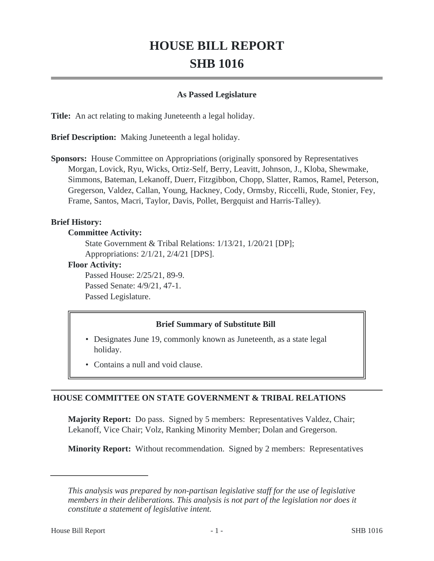# **HOUSE BILL REPORT SHB 1016**

#### **As Passed Legislature**

**Title:** An act relating to making Juneteenth a legal holiday.

**Brief Description:** Making Juneteenth a legal holiday.

**Sponsors:** House Committee on Appropriations (originally sponsored by Representatives Morgan, Lovick, Ryu, Wicks, Ortiz-Self, Berry, Leavitt, Johnson, J., Kloba, Shewmake, Simmons, Bateman, Lekanoff, Duerr, Fitzgibbon, Chopp, Slatter, Ramos, Ramel, Peterson, Gregerson, Valdez, Callan, Young, Hackney, Cody, Ormsby, Riccelli, Rude, Stonier, Fey, Frame, Santos, Macri, Taylor, Davis, Pollet, Bergquist and Harris-Talley).

## **Brief History:**

#### **Committee Activity:**

State Government & Tribal Relations: 1/13/21, 1/20/21 [DP]; Appropriations: 2/1/21, 2/4/21 [DPS].

#### **Floor Activity:**

Passed House: 2/25/21, 89-9. Passed Senate: 4/9/21, 47-1. Passed Legislature.

## **Brief Summary of Substitute Bill**

- Designates June 19, commonly known as Juneteenth, as a state legal holiday.
- Contains a null and void clause.

## **HOUSE COMMITTEE ON STATE GOVERNMENT & TRIBAL RELATIONS**

**Majority Report:** Do pass. Signed by 5 members: Representatives Valdez, Chair; Lekanoff, Vice Chair; Volz, Ranking Minority Member; Dolan and Gregerson.

**Minority Report:** Without recommendation. Signed by 2 members: Representatives

*This analysis was prepared by non-partisan legislative staff for the use of legislative members in their deliberations. This analysis is not part of the legislation nor does it constitute a statement of legislative intent.*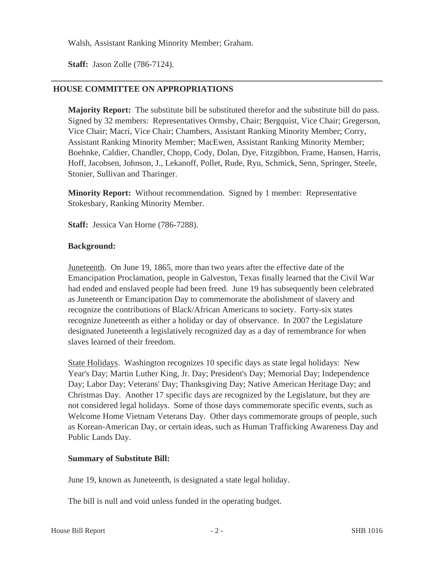Walsh, Assistant Ranking Minority Member; Graham.

**Staff:** Jason Zolle (786-7124).

## **HOUSE COMMITTEE ON APPROPRIATIONS**

**Majority Report:** The substitute bill be substituted therefor and the substitute bill do pass. Signed by 32 members: Representatives Ormsby, Chair; Bergquist, Vice Chair; Gregerson, Vice Chair; Macri, Vice Chair; Chambers, Assistant Ranking Minority Member; Corry, Assistant Ranking Minority Member; MacEwen, Assistant Ranking Minority Member; Boehnke, Caldier, Chandler, Chopp, Cody, Dolan, Dye, Fitzgibbon, Frame, Hansen, Harris, Hoff, Jacobsen, Johnson, J., Lekanoff, Pollet, Rude, Ryu, Schmick, Senn, Springer, Steele, Stonier, Sullivan and Tharinger.

**Minority Report:** Without recommendation. Signed by 1 member: Representative Stokesbary, Ranking Minority Member.

**Staff:** Jessica Van Horne (786-7288).

#### **Background:**

Juneteenth. On June 19, 1865, more than two years after the effective date of the Emancipation Proclamation, people in Galveston, Texas finally learned that the Civil War had ended and enslaved people had been freed. June 19 has subsequently been celebrated as Juneteenth or Emancipation Day to commemorate the abolishment of slavery and recognize the contributions of Black/African Americans to society. Forty-six states recognize Juneteenth as either a holiday or day of observance. In 2007 the Legislature designated Juneteenth a legislatively recognized day as a day of remembrance for when slaves learned of their freedom.

State Holidays. Washington recognizes 10 specific days as state legal holidays: New Year's Day; Martin Luther King, Jr. Day; President's Day; Memorial Day; Independence Day; Labor Day; Veterans' Day; Thanksgiving Day; Native American Heritage Day; and Christmas Day. Another 17 specific days are recognized by the Legislature, but they are not considered legal holidays. Some of those days commemorate specific events, such as Welcome Home Vietnam Veterans Day. Other days commemorate groups of people, such as Korean-American Day, or certain ideas, such as Human Trafficking Awareness Day and Public Lands Day.

## **Summary of Substitute Bill:**

June 19, known as Juneteenth, is designated a state legal holiday.

The bill is null and void unless funded in the operating budget.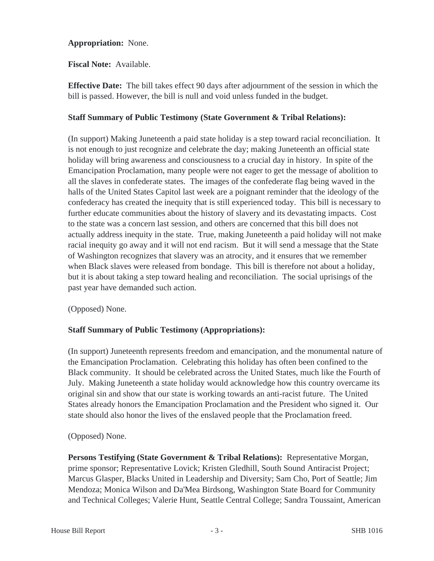# **Appropriation:** None.

**Fiscal Note:** Available.

**Effective Date:** The bill takes effect 90 days after adjournment of the session in which the bill is passed. However, the bill is null and void unless funded in the budget.

# **Staff Summary of Public Testimony (State Government & Tribal Relations):**

(In support) Making Juneteenth a paid state holiday is a step toward racial reconciliation. It is not enough to just recognize and celebrate the day; making Juneteenth an official state holiday will bring awareness and consciousness to a crucial day in history. In spite of the Emancipation Proclamation, many people were not eager to get the message of abolition to all the slaves in confederate states. The images of the confederate flag being waved in the halls of the United States Capitol last week are a poignant reminder that the ideology of the confederacy has created the inequity that is still experienced today. This bill is necessary to further educate communities about the history of slavery and its devastating impacts. Cost to the state was a concern last session, and others are concerned that this bill does not actually address inequity in the state. True, making Juneteenth a paid holiday will not make racial inequity go away and it will not end racism. But it will send a message that the State of Washington recognizes that slavery was an atrocity, and it ensures that we remember when Black slaves were released from bondage. This bill is therefore not about a holiday, but it is about taking a step toward healing and reconciliation. The social uprisings of the past year have demanded such action.

(Opposed) None.

# **Staff Summary of Public Testimony (Appropriations):**

(In support) Juneteenth represents freedom and emancipation, and the monumental nature of the Emancipation Proclamation. Celebrating this holiday has often been confined to the Black community. It should be celebrated across the United States, much like the Fourth of July. Making Juneteenth a state holiday would acknowledge how this country overcame its original sin and show that our state is working towards an anti-racist future. The United States already honors the Emancipation Proclamation and the President who signed it. Our state should also honor the lives of the enslaved people that the Proclamation freed.

(Opposed) None.

**Persons Testifying (State Government & Tribal Relations):** Representative Morgan, prime sponsor; Representative Lovick; Kristen Gledhill, South Sound Antiracist Project; Marcus Glasper, Blacks United in Leadership and Diversity; Sam Cho, Port of Seattle; Jim Mendoza; Monica Wilson and Da'Mea Birdsong, Washington State Board for Community and Technical Colleges; Valerie Hunt, Seattle Central College; Sandra Toussaint, American